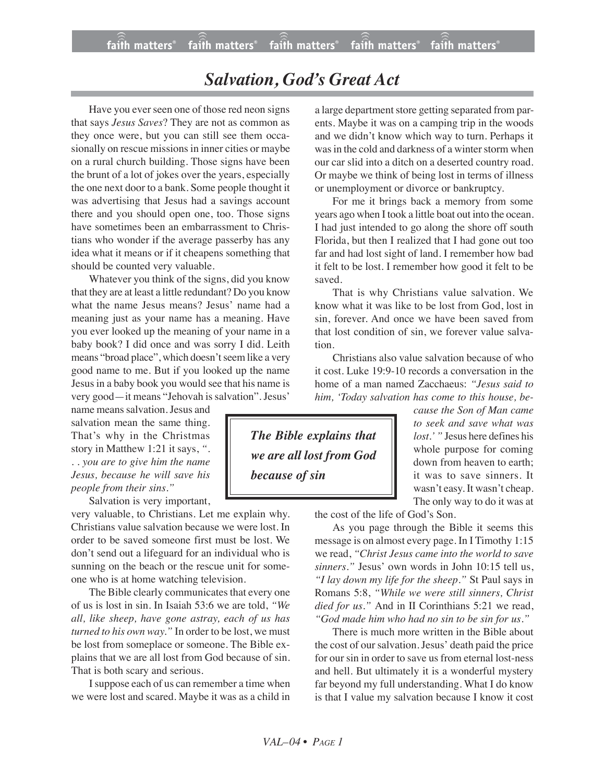## *Salvation, God's Great Act*

Have you ever seen one of those red neon signs that says *Jesus Saves*? They are not as common as they once were, but you can still see them occasionally on rescue missions in inner cities or maybe on a rural church building. Those signs have been the brunt of a lot of jokes over the years, especially the one next door to a bank. Some people thought it was advertising that Jesus had a savings account there and you should open one, too. Those signs have sometimes been an embarrassment to Christians who wonder if the average passerby has any idea what it means or if it cheapens something that should be counted very valuable.

Whatever you think of the signs, did you know that they are at least a little redundant? Do you know what the name Jesus means? Jesus' name had a meaning just as your name has a meaning. Have you ever looked up the meaning of your name in a baby book? I did once and was sorry I did. Leith means "broad place", which doesn't seem like a very good name to me. But if you looked up the name Jesus in a baby book you would see that his name is very good—it means "Jehovah is salvation". Jesus'

name meanssalvation.Jesus and salvation mean the same thing. That's why in the Christmas story in Matthew 1:21 it says, *". . . you are to give him the name Jesus, because he will save his people from their sins."*

Salvation is very important,

very valuable, to Christians. Let me explain why. Christians value salvation because we were lost. In order to be saved someone first must be lost. We don't send out a lifeguard for an individual who is sunning on the beach or the rescue unit for someone who is at home watching television.

The Bible clearly communicates that every one of us is lost in sin. In Isaiah 53:6 we are told, *"We all, like sheep, have gone astray, each of us has turned to his own way."* In order to be lost, we must be lost from someplace or someone. The Bible explains that we are all lost from God because of sin. That is both scary and serious.

I suppose each of us can remember a time when we were lost and scared. Maybe it was as a child in a large department store getting separated from parents. Maybe it was on a camping trip in the woods and we didn't know which way to turn. Perhaps it was in the cold and darkness of a winter storm when our car slid into a ditch on a deserted country road. Or maybe we think of being lost in terms of illness or unemployment or divorce or bankruptcy.

For me it brings back a memory from some years ago when I took a little boat out into the ocean. I had just intended to go along the shore off south Florida, but then I realized that I had gone out too far and had lost sight of land. I remember how bad it felt to be lost. I remember how good it felt to be saved.

That is why Christians value salvation. We know what it was like to be lost from God, lost in sin, forever. And once we have been saved from that lost condition of sin, we forever value salvation.

Christians also value salvation because of who it cost. Luke 19:9-10 records a conversation in the home of a man named Zacchaeus: *"Jesus said to him, 'Today salvation has come to this house, be-*

*The Bible explains that we are all lost from God because of sin*

*cause the Son of Man came to seek and save what was lost.' "* Jesus here defines his whole purpose for coming down from heaven to earth; it was to save sinners. It wasn't easy. It wasn't cheap. The only way to do it was at

the cost of the life of God's Son.

As you page through the Bible it seems this message is on almost every page. In I Timothy 1:15 we read, *"Christ Jesus came into the world to save sinners.*" Jesus' own words in John 10:15 tell us, *"I lay down my life for the sheep."* St Paul says in Romans 5:8, *"While we were still sinners, Christ died for us."* And in II Corinthians 5:21 we read, *"God made him who had no sin to be sin for us."*

There is much more written in the Bible about the cost of our salvation. Jesus' death paid the price for our sin in order to save us from eternal lost-ness and hell. But ultimately it is a wonderful mystery far beyond my full understanding. What I do know is that I value my salvation because I know it cost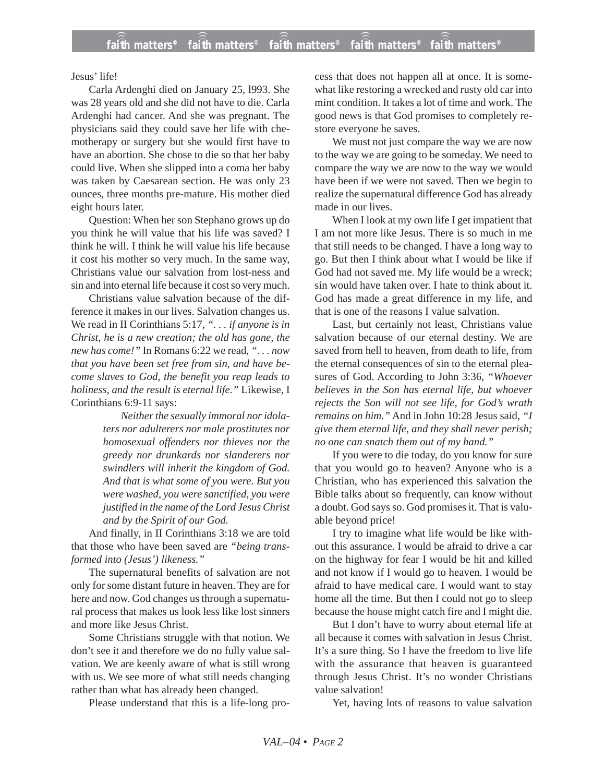Jesus' life!

Carla Ardenghi died on January 25, l993. She was 28 years old and she did not have to die. Carla Ardenghi had cancer. And she was pregnant. The physicians said they could save her life with chemotherapy or surgery but she would first have to have an abortion. She chose to die so that her baby could live. When she slipped into a coma her baby was taken by Caesarean section. He was only 23 ounces, three months pre-mature. His mother died eight hours later.

Question: When her son Stephano grows up do you think he will value that his life was saved? I think he will. I think he will value his life because it cost his mother so very much. In the same way, Christians value our salvation from lost-ness and sin and into eternal life because it cost so very much.

Christians value salvation because of the difference it makes in our lives. Salvation changes us. We read in II Corinthians 5:17, *". . . if anyone is in Christ, he is a new creation; the old has gone, the new has come!"* In Romans 6:22 we read, *". . . now that you have been set free from sin, and have become slaves to God, the benefit you reap leads to holiness, and the result is eternal life."* Likewise, I Corinthians 6:9-11 says:

> *Neither the sexually immoral nor idolaters nor adulterers nor male prostitutes nor homosexual offenders nor thieves nor the greedy nor drunkards nor slanderers nor swindlers will inherit the kingdom of God. And that is what some of you were. But you were washed, you were sanctified, you were justified in the name of the Lord Jesus Christ and by the Spirit of our God.*

And finally, in II Corinthians 3:18 we are told that those who have been saved are *"being transformed into (Jesus') likeness."*

The supernatural benefits of salvation are not only for some distant future in heaven. They are for here and now. God changes us through a supernatural process that makes us look less like lost sinners and more like Jesus Christ.

Some Christians struggle with that notion. We don't see it and therefore we do no fully value salvation. We are keenly aware of what is still wrong with us. We see more of what still needs changing rather than what has already been changed.

Please understand that this is a life-long pro-

cess that does not happen all at once. It is somewhat like restoring a wrecked and rusty old car into mint condition. It takes a lot of time and work. The good news is that God promises to completely restore everyone he saves.

We must not just compare the way we are now to the way we are going to be someday. We need to compare the way we are now to the way we would have been if we were not saved. Then we begin to realize the supernatural difference God has already made in our lives.

When I look at my own life I get impatient that I am not more like Jesus. There is so much in me that still needs to be changed. I have a long way to go. But then I think about what I would be like if God had not saved me. My life would be a wreck; sin would have taken over. I hate to think about it. God has made a great difference in my life, and that is one of the reasons I value salvation.

Last, but certainly not least, Christians value salvation because of our eternal destiny. We are saved from hell to heaven, from death to life, from the eternal consequences of sin to the eternal pleasures of God. According to John 3:36, *"Whoever believes in the Son has eternal life, but whoever rejects the Son will not see life, for God's wrath remains on him."* And in John 10:28 Jesus said, *"I give them eternal life, and they shall never perish; no one can snatch them out of my hand."*

If you were to die today, do you know for sure that you would go to heaven? Anyone who is a Christian, who has experienced this salvation the Bible talks about so frequently, can know without a doubt. God says so. God promises it. That is valuable beyond price!

I try to imagine what life would be like without this assurance. I would be afraid to drive a car on the highway for fear I would be hit and killed and not know if I would go to heaven. I would be afraid to have medical care. I would want to stay home all the time. But then I could not go to sleep because the house might catch fire and I might die.

But I don't have to worry about eternal life at all because it comes with salvation in Jesus Christ. It's a sure thing. So I have the freedom to live life with the assurance that heaven is guaranteed through Jesus Christ. It's no wonder Christians value salvation!

Yet, having lots of reasons to value salvation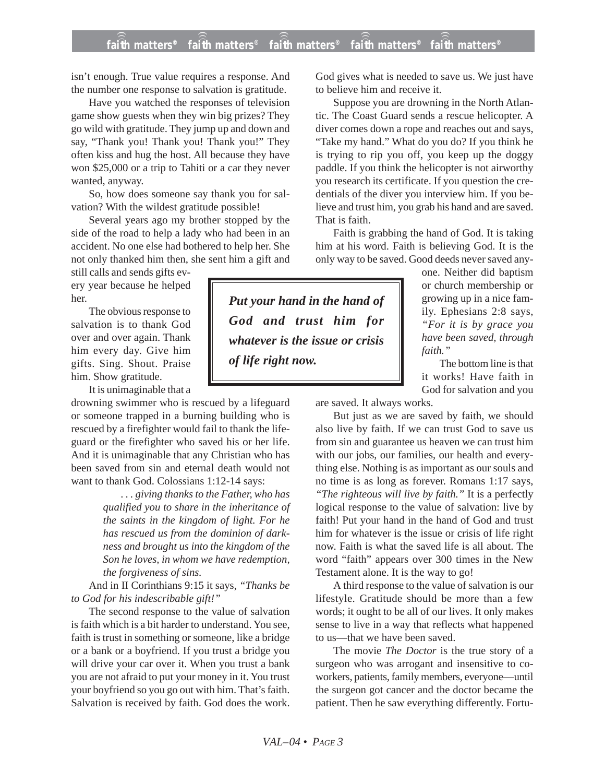## **faith matters® faith matters® faith matters® faith matters® faith matters®** ))) ))) ))) ))) )))

isn't enough. True value requires a response. And the number one response to salvation is gratitude.

Have you watched the responses of television game show guests when they win big prizes? They go wild with gratitude. They jump up and down and say, "Thank you! Thank you! Thank you!" They often kiss and hug the host. All because they have won \$25,000 or a trip to Tahiti or a car they never wanted, anyway.

So, how does someone say thank you for salvation? With the wildest gratitude possible!

Several years ago my brother stopped by the side of the road to help a lady who had been in an accident. No one else had bothered to help her. She not only thanked him then, she sent him a gift and

still calls and sends gifts every year because he helped her.

The obvious response to salvation is to thank God over and over again. Thank him every day. Give him gifts. Sing. Shout. Praise him. Show gratitude.

It is unimaginable that a

drowning swimmer who is rescued by a lifeguard or someone trapped in a burning building who is rescued by a firefighter would fail to thank the lifeguard or the firefighter who saved his or her life. And it is unimaginable that any Christian who has been saved from sin and eternal death would not want to thank God. Colossians 1:12-14 says:

> *. . . giving thanks to the Father, who has qualified you to share in the inheritance of the saints in the kingdom of light. For he has rescued us from the dominion of darkness and brought us into the kingdom of the Son he loves, in whom we have redemption, the forgiveness of sins.*

And in II Corinthians 9:15 it says, *"Thanks be to God for his indescribable gift!"*

The second response to the value of salvation is faith which is a bit harder to understand. You see, faith is trust in something or someone, like a bridge or a bank or a boyfriend. If you trust a bridge you will drive your car over it. When you trust a bank you are not afraid to put your money in it. You trust your boyfriend so you go out with him. That's faith. Salvation is received by faith. God does the work. God gives what is needed to save us. We just have to believe him and receive it.

Suppose you are drowning in the North Atlantic. The Coast Guard sends a rescue helicopter. A diver comes down a rope and reaches out and says, "Take my hand." What do you do? If you think he is trying to rip you off, you keep up the doggy paddle. If you think the helicopter is not airworthy you research its certificate. If you question the credentials of the diver you interview him. If you believe and trust him, you grab his hand and are saved. That is faith.

Faith is grabbing the hand of God. It is taking him at his word. Faith is believing God. It is the only way to be saved. Good deeds never saved any-

one. Neither did baptism or church membership or growing up in a nice family. Ephesians 2:8 says, *"For it is by grace you have been saved, through faith."*

The bottom line is that it works! Have faith in God for salvation and you

are saved. It always works.

But just as we are saved by faith, we should also live by faith. If we can trust God to save us from sin and guarantee us heaven we can trust him with our jobs, our families, our health and everything else. Nothing is as important as our souls and no time is as long as forever. Romans 1:17 says, *"The righteous will live by faith."* It is a perfectly logical response to the value of salvation: live by faith! Put your hand in the hand of God and trust him for whatever is the issue or crisis of life right now. Faith is what the saved life is all about. The word "faith" appears over 300 times in the New Testament alone. It is the way to go!

A third response to the value of salvation is our lifestyle. Gratitude should be more than a few words; it ought to be all of our lives. It only makes sense to live in a way that reflects what happened to us—that we have been saved.

The movie *The Doctor* is the true story of a surgeon who was arrogant and insensitive to coworkers, patients, family members, everyone—until the surgeon got cancer and the doctor became the patient. Then he saw everything differently. Fortu-

*Put your hand in the hand of God and trust him for whatever is the issue or crisis of life right now.*